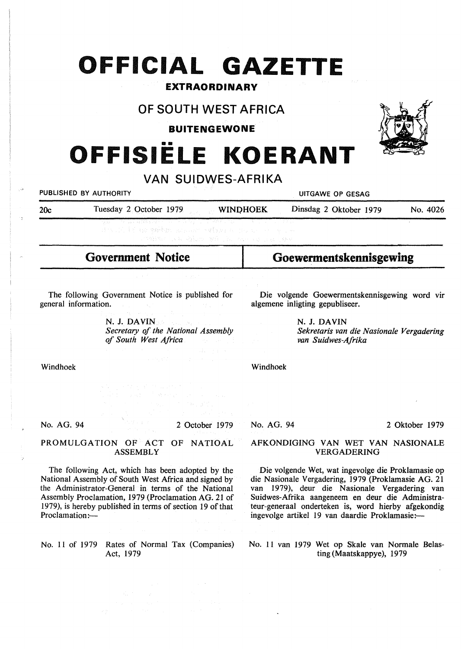# **OFFICIAL GAZETTE**

### **EXTRAORDINARY**

## **OF SOUTH WEST AFRICA**

**BUITENGEWONE** 

•• **OFFISIELE KOERANT** 

### **VAN SUIDWES-AFRIKA**

| PUBLISHED BY AUTHORITY |                                                                                                                                                                                                   | and the control of the | UITGAWE OP GESAG       |          |  |
|------------------------|---------------------------------------------------------------------------------------------------------------------------------------------------------------------------------------------------|------------------------|------------------------|----------|--|
| 20c                    | Tuesday 2 October 1979                                                                                                                                                                            | <b>WINDHOEK</b>        | Dinsdag 2 Oktober 1979 | No. 4026 |  |
|                        | 「投影」 しゅうはい 母親族 いちゃくしゃ しゅうりょう 手にそびれ いちのうしょう しょうしょうほうしゃ<br>化焦代乙酸 重用 电机 电模量电极 医自己组织 医腱囊膜炎 化二硫化 化二十二碳二十四碳<br>그 사람들은 그 사람들은 그 사람들은 그 사람들을 지르며 그 사람들을 만들어 보고 있다. 그 사람들은 그 사람들은 그 사람들은 그 사람들을 만들어 보고 있다. |                        |                        |          |  |

## **Government Notice**

The following Government Notice is published for general information.

> **N. J. DAVIN**  *Secretary of the National Assembly of South West Africa*

Die volgende Goewermentskennisgewing word vir algemene inligting gepubliseer.

> **N. J. DAVIN**  *Sekretaris van die Nasionale Vergadering van Suidwes-Afrika*

Windhoek

No. AG. 94

2 October 1979

### PROMULGATION OF ACT OF NATIOAL **ASSEMBLY**

The following Act, which has been adopted by the National Assembly of South West Africa and signed by the Administrator-General in terms of the National Assembly Proclamation, 1979 (Proclamation AG. 21 of 1979), is hereby published in terms of section 19 of that Proclamation:-

No. 11 of 1979 Rates of Normal Tax (Companies) Act, 1979

2 Oktober 1979

### AFKONDIGING VAN WET VAN NASIONALE VERGADERING

Die volgende Wet, wat ingevolge die Proklamasie op die Nasionale Vergadering, 1979 (Proklamasie AG. 21 van 1979), deur die Nasionale Vergadering van Suidwes-Afrika aangeneem en deur die Administrateur-generaal onderteken is, word hierby afgekondig ingevolge artikel 19 van daardie Proklamasie:-

No. 11 van 1979 Wet op Skale van Normale Belasting (Maatskappye), 1979

No. AG. 94

Windhoek

**Goewermentskennisgewing** 

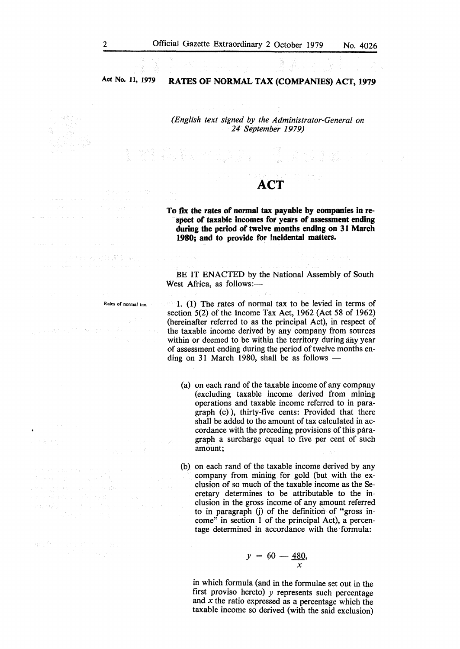### **Act No. 11, 1979 RATES OF NORMAL TAX (COMPANIES) ACT, 1979**

*(English text signed by the Administrator-General on 24 September 1979)* 

## **ACT**

**To fix the rates of normal tax payable by companies in respect of taxable incomes for years of assessment ending during the period of twelve months ending on 31 March 1980; and to provide for incidental matters.** 

BE IT ENACTED by the National Assembly of South West Africa, as follows:-

1. (1) The rates of normal tax to be levied in terms of section 5(2) of the Income Tax Act, 1962 (Act 58 of 1962) (hereinafter referred to as the principal Act), in respect of the taxable income derived by any company from sources within or deemed to be within the territory during any year of assessment ending during the period of twelve months ending on 31 March 1980, shall be as follows  $-$ 

(a) on each rand of the taxable income of any company (excluding taxable income derived from mining operations and taxable income referred to in paragraph (c) ), thirty-five cents: Provided that there shall be added to the amount of tax calculated in accordance with the preceding provisions of this paragraph a surcharge equal to five per cent of such amount;

(b) on each rand of the taxable income derived by any company from mining for gold (but with the exclusion of so much of the taxable income as the Secretary determines to be attributable to the inclusion in the gross income of any amount referred to in paragraph G) of the definition of "gross income" in section 1 of the principal Act), a percentage determined in accordance with the formula:

$$
y = 60 - \frac{480}{x}
$$

in which formula (and in the formulae set out in the first proviso hereto) *y* represents such percentage and *x* the ratio expressed as a percentage which the taxable income so derived (with the said exclusion)

 $\bar{z}$ 

Rates of normal tax.

计准数组 阿尔拉勒勒族 氧乙

130 de abril de 1988 (1981)<br>2008 : El Barcelona de Calabra (19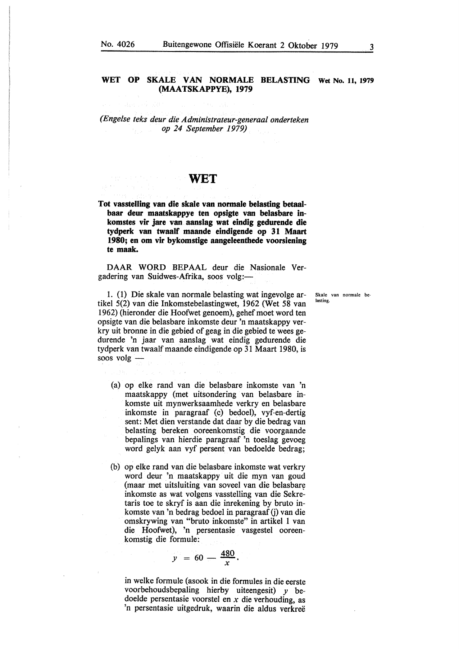### WET OP SKALE VAN NORMALE BELASTING Wet No. 11, 1979 **(MAATSKAPPYE), 1979**

*(Engelse teks deur die Administrateur-generaal onderteken op 24 September 1979)* 

### **WET**

**Tot vasstelling van die skale van normale belasting betaalbaar deur maatskappye ten opsigte van belasbare inkomstes vir jare van aanslag wat eindig gedurende die tydperk van twaalf maande eindigende op 31 Maart 1980; en om vir bykomstige aangeleenthede voorsiening te maak.** 

**DAAR WORD** BEPAAL deur die Nasionale Vergadering van Suidwes-Afrika, soos volg:-

1. (1) Die skale van normale belasting wat ingevolge artikel 5(2) van die Inkomstebelastingwet, 1962 (Wet 58 van 1962) (hieronder die Hoofwet genoem), gehef moet word ten opsigte van die belasbare inkomste deur 'n maatskappy verkry uit bronne in die gebied of geag in die gebied te wees gedurende 'n jaar van aanslag wat eindig gedurende die tydperk van twaalf maande eindigende op 31 Maart 1980, is soos volg -

- (a) op elke rand van die belasbare inkomste van 'n maatskappy (met uitsondering van belasbare inkomste uit mynwerksaamhede verkry en belasbare inkomste in paragraaf (c) bedoel), vyf-en-dertig sent: Met dien verstande dat daar by die bedrag van belasting bereken ooreenkomstig die voorgaande bepalings van hierdie paragraaf 'n toeslag gevoeg word gelyk aan vyf persent van bedoelde bedrag;
- (b) op elke rand van die belasbare inkomste wat verkry word deur 'n maatskappy uit die myn van goud (maar met uitsluiting van soveel van die belasbare inkomste as wat volgens vasstelling van die Sekre: taris toe te skryf is aan die inrekening by bruto inkomste van 'n bedrag bedoel in paragraaf (j) van die omskrywing van "bruto inkomste" in artikel 1 van die Hoofwet), 'n persentasie vasgestel ooreenkomstig die formule:

$$
y = 60 - \frac{480}{x}.
$$

in welke formule (asook in die formules in die eerste voorbehoudsbepaling hierby uiteengesit) *y* bedoelde persentasie voorstel en *x* die verhouding, as 'n persentasie uitgedruk, waarin die aldus verkree

Skale van normale belasting.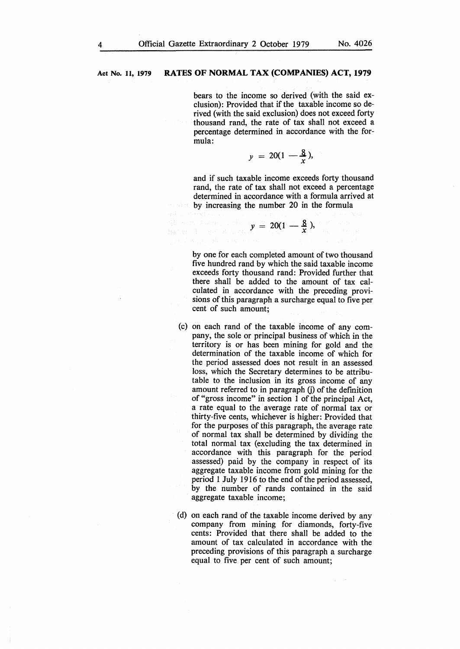$\{ \gamma_i \}_{i=1}^n$  , where  $\{ \gamma_i \}_{i=1}^n$ 

### **Act No. 11, 1979 RATES OF NORMAL TAX (COMPANIES) ACT, 1979**

bears to the income so derived (with the said exclusion): Provided that if the taxable income so derived (with the said exclusion) does not exceed forty thousand rand, the rate of tax shall not exceed a percentage determined in accordance with the formula:

$$
y = 20(1 - \frac{8}{x}),
$$

and if such taxable income exceeds forty thousand rand, the rate of tax shall not exceed a percentage determined in accordance with a formula arrived at by increasing the number 20 in the formula

$$
\mathbb{R} \text{ and } \mathbb{R} \text{ is a } y = 20(1 - \frac{8}{x}),
$$

by one for each completed amount of two thousand five hundred rand by which the said taxable income exceeds forty thousand rand: Provided further that there shall be added to the amount of tax calculated in accordance with the preceding provisions of this paragraph a surcharge equal to five per cent of such amount;

- (c) on each rand of the taxable income of any company, the sole or principal business of which in the territory is or has been mining for gold and the determination of the taxable income of which for the period assessed does not result in an assessed loss, which the Secretary determines to be attributable to the inclusion in its gross income of any amount referred to in paragraph (j) of the definition of "gross income" in section 1 of the principal Act, a rate equal to the average rate of normal tax or thirty-five cents, whichever is higher: Provided that for the purposes of this paragraph, the average rate of normal tax shall be determined by dividing the total normal tax (excluding the tax determined in accordance with this paragraph for the period assessed) paid by the company in respect of its aggregate taxable income from gold mining for the period 1 July 1916 to the end of the period assessed, by the number of rands contained in the said aggregate taxable income;
- (d) on each rand of the taxable income derived by any company from mining for diamonds, forty-five cents: Provided that there shall be added to the amount of tax calculated in accordance with the preceding provisions of this paragraph a surcharge equal to five per cent of such amount;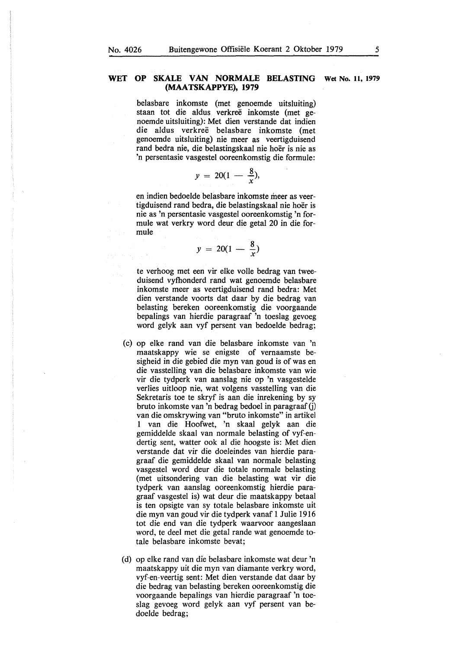$\gamma_{\rm c} = 5$ 

### WET OP SKALE VAN NORMALE BELASTING Wet No. 11, 1979 **(MAA TSKAPPYE), 1979**

belasbare inkomste (met genoemde uitsluiting) staan tot die aldus verkreë inkomste (met genoemde uitsluiting): Met dien verstande dat indien die aldus verkree belasbare inkomste (met genoemde uitsluiting) nie meer as veertigduisend rand bedra nie, die belastingskaal nie hoer is nie as 'n persentasie vasgestel ooreenkomstig die formule:

$$
y = 20(1 - \frac{8}{x}),
$$

en indien bedoelde belasbare inkomste meer as veertigduisend rand bedra, die belastingskaal nie hoer is nie as 'n persentasie vasgestel ooreenkomstig 'n formule wat verkry word deur die getal 20 in die formule

$$
y = 20(1 - \frac{8}{x})
$$

te verhoog met een vir elke volle bedrag van tweeduisend vyfhonderd rand wat genoemde belasbare inkomste meer as veertigduisend rand bedra: Met dien verstande voorts dat daar by die bedrag van belasting bereken ooreenkomstig die voorgaande bepalings van hierdie paragraaf 'n toeslag gevoeg word gelyk aan vyf persent van bedoelde bedrag;

- (c) op elke rand van die belasbare inkomste van 'n maatskappy wie se enigste of vernaamste besigheid in die gebied die myn van goud is of was en die vasstelling van die belasbare inkomste van wie vir die tydperk van aanslag nie op 'n vasgestelde verlies uitloop nie, wat volgens vasstelling van die Sekretaris toe te skryf is aan die inrekening by sy bruto inkomste van 'n bedrag bedoel in paragraaf G) van die omskrywing van "bruto inkomste" in artikel 1 van die Hoofwet, 'n skaal gelyk aan die gemiddelde skaal van normale belasting of vyf-endertig sent, watter ook al die hoogste is: Met dien verstande dat vir die doeleindes van hierdie paragraaf die gemiddelde skaal van normale belasting vasgestel word deur die totale normale belasting (met uitsondering van die belasting wat vir die tydperk van aanslag ooreenkomstig hierdie paragraaf vasgestel is) wat deur die maatskappy betaal is ten opsigte van sy totale belasbare inkomste uit die myn van goud vir die tydperk vanaf 1 Julie 1916 tot die end van die tydperk waarvoor aangeslaan word, te deel met die getal rande wat genoemde totale belasbare inkomste bevat;
- ( d) op elke rand van die belasbare inkomste wat deur 'n maatskappy uit die myn van diamante verkry word, vyf-en-veertig sent: Met dien verstande dat daar by die bedrag van belasting bereken ooreenkomstig die voorgaande bepalings van hierdie paragraaf 'n toeslag gevoeg word gelyk aan vyf persent van bedoelde bedrag;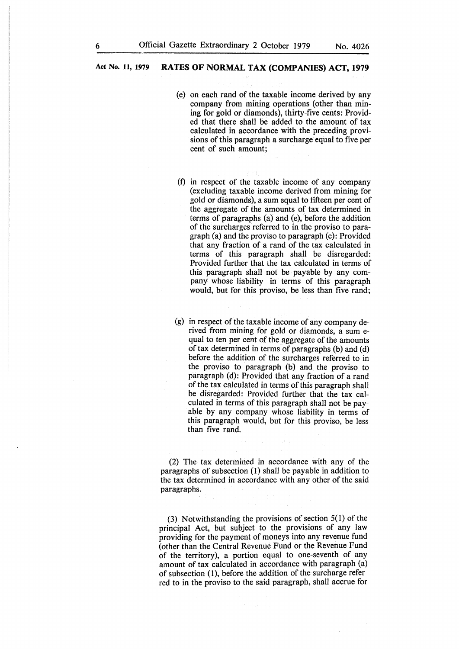### **Act No. 11, 1979 RATES OF NORMAL TAX (COMPANIES) ACT, 1979**

- (e) on each rand of the taxable income derived by any company from mining operations (other than mining for gold or diamonds), thirty-five cents: Provided that there shall be added to the amount of tax calculated in accordance with the preceding provisions of this paragraph a surcharge equal to five per cent of such amount;
- (f) in respect of the taxable income of any company (excluding taxable income derived from mining for gold or diamonds), a sum equal to fifteen per cent of the aggregate of the amounts of tax determined in terms of paragraphs (a) and (e), before the addition of the surcharges referred to in the proviso to paragraph (a) and the proviso to paragraph (e): Provided that any fraction of a rand of the tax calculated in terms of this paragraph shall be disregarded: Provided further that the tax calculated in terms of this paragraph shall not be payable by any company whose liability in terms of this paragraph would, but for this proviso, be less than five rand;
- (g) in respect of the taxable income of any company derived from mining for gold or diamonds, a sum equal to ten per cent of the aggregate of the amounts of tax determined in terms of paragraphs (b) and (d) before the addition of the surcharges referred to in the proviso to paragraph (b) and the proviso to paragraph (d): Provided that any fraction of a rand of the tax calculated in terms of this paragraph shall be disregarded: Provided further that the tax calculated in terms of this paragraph shall not be payable by any company whose liability in terms of this paragraph would, but for this proviso, be less than five rand.

(2) The tax determined in accordance with any of the paragraphs of subsection (I) shall be payable in addition to the tax determined in accordance with any other of the said paragraphs.

(3) Notwithstanding the provisions of section 5(1) of the principal Act, but subject to the provisions of any law providing for the payment of moneys into any revenue fund (other than the Central Revenue Fund or the Revenue Fund of the territory), a portion equal to one-seventh of any amount of tax calculated in accordance with paragraph (a) of subsection (1), before the addition of the surcharge referred to in the proviso to the said paragraph, shall accrue for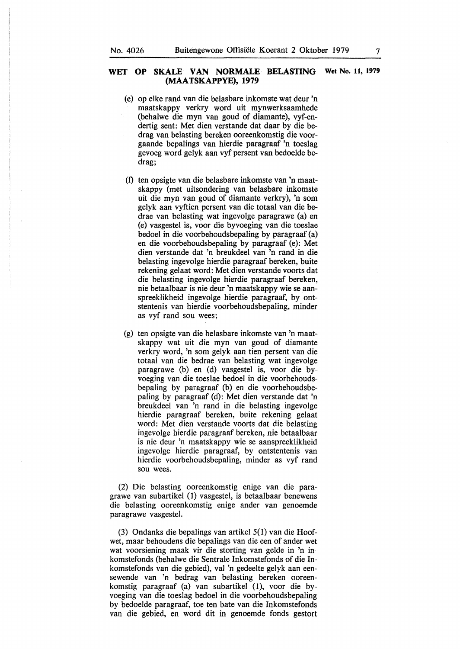### **WET OP SKALE VAN NORMALE BELASTING Wet No. 11, 1979 (MAA TSKAPPYE), 1979**

- (e) op elke rand van die belasbare inkomste wat deur 'n maatskappy verkry word uit mynwerksaamhede (behalwe die myn van goud of diamante), vyf-endertig sent: Met dien verstande dat daar by die bedrag van belasting bereken ooreenkomstig die voorgaande bepalings van hierdie paragraaf 'n toeslag gevoeg word gelyk aan vyf persent van bedoelde bedrag;
- (t) ten opsigte van die belasbare inkomste van 'n maatskappy (met uitsondering van belasbare inkomste uit die myn van goud of diamante verkry), 'n som gelyk aan vyftien persent van die totaal van die bedrae van belasting wat ingevolge paragrawe (a) en (e) vasgestel is, voor die byvoeging van die toeslae bedoel in die voorbehoudsbepaling by paragraaf (a) en die voorbehoudsbepaling by paragraaf (e): Met dien verstande dat 'n breukdeel van 'n rand in die belasting ingevolge hierdie paragraaf bereken, buite rekening gelaat word: Met dien verstande voorts dat die belasting ingevolge hierdie paragraaf bereken, nie betaalbaar is nie deur 'n maatskappy wie se aanspreeklikheid ingevolge hierdie paragraaf, by ontstentenis van hierdie voorbehoudsbepaling, minder as vyf rand sou wees;
- (g) ten opsigte van die belasbare inkomste van 'n maatskappy wat uit die myn van goud of diamante verkry word, 'n som gelyk aan tien persent van die totaal van die bedrae van belasting wat ingevolge paragrawe (b) en (d) vasgestel is, voor die byvoeging van die toeslae bedoel in die voorbehoudsbepaling by paragraaf (b) en die voorbehoudsbepaling by paragraaf (d): Met dien verstande dat 'n breukdeel van 'n rand in die belasting ingevolge hierdie paragraaf bereken, buite rekening gelaat word: Met dien verstande voorts dat die belasting ingevolge hierdie paragraaf bereken, nie betaalbaar is nie deur 'n maatskappy wie se aanspreeklikheid ingevolge hierdie paragraaf, by ontstentenis van hierdie voorbehoudsbepaling, minder as vyf rand sou wees.

(2) Die belasting ooreenkomstig enige van die paragrawe van subartikel (1) vasgestel, is betaalbaar benewens die belasting ooreenkomstig enige ander van genoemde paragrawe vasgestel.

(3) Ondanks die bepalings van artikel 5(1) van die Hoofwet, maar behoudens die bepalings van die een of ander wet wat voorsiening maak vir die storting van gelde in 'n inkomstefonds (behalwe die Sentrale Inkomstefonds of die Inkomstefonds van die gebied), val 'n gedeelte gelyk aan eensewende van 'n bedrag van belasting bereken ooreenkomstig paragraaf (a) van subartikel (1), voor die byvoeging van die toeslag bedoel in die voorbehoudsbepaling by bedoelde paragraaf, toe ten bate van die Inkomstefonds van die gebied, en word dit in genoemde fonds gestort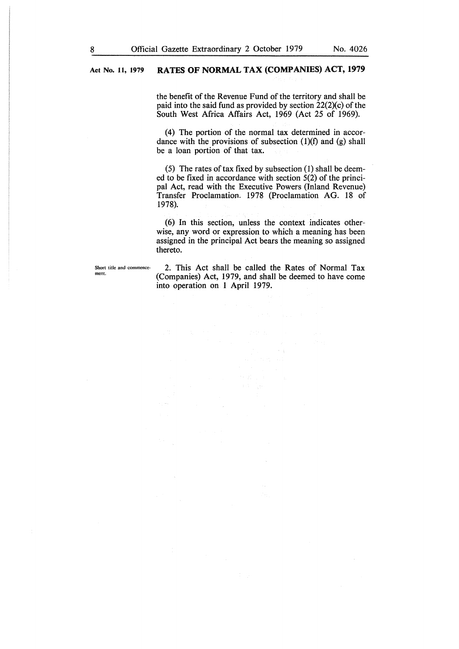### **Act No. 11, 1979 RATES OF NORMAL TAX (COMPANIES) ACT, 1979**

the benefit of the Revenue Fund of the territory and shall be paid into the said fund as provided by section  $22(2)(c)$  of the South West Africa Affairs Act, 1969 (Act 25 of 1969).

(4) The portion of the normal tax determined in accordance with the provisions of subsection  $(1)(f)$  and  $(g)$  shall be a loan portion of that tax.

(5) The rates of tax fixed by subsection (1) shall be deemed to be fixed in accordance with section 5(2) of the principal Act, read with the Executive Powers (Inland Revenue) Transfer Proclamation. 1978 (Proclamation AG. 18 of 1978).

(6) In this section, unless the context indicates otherwise, any word or expression to which a meaning has been assigned in the principal Act bears the meaning so assigned thereto.

Short title and commence**ment.** 

2. This Act shall be called the Rates of Normal Tax (Companies) Act, 1979, and shall be deemed to have come into operation on 1 April 1979.

 $\lambda$